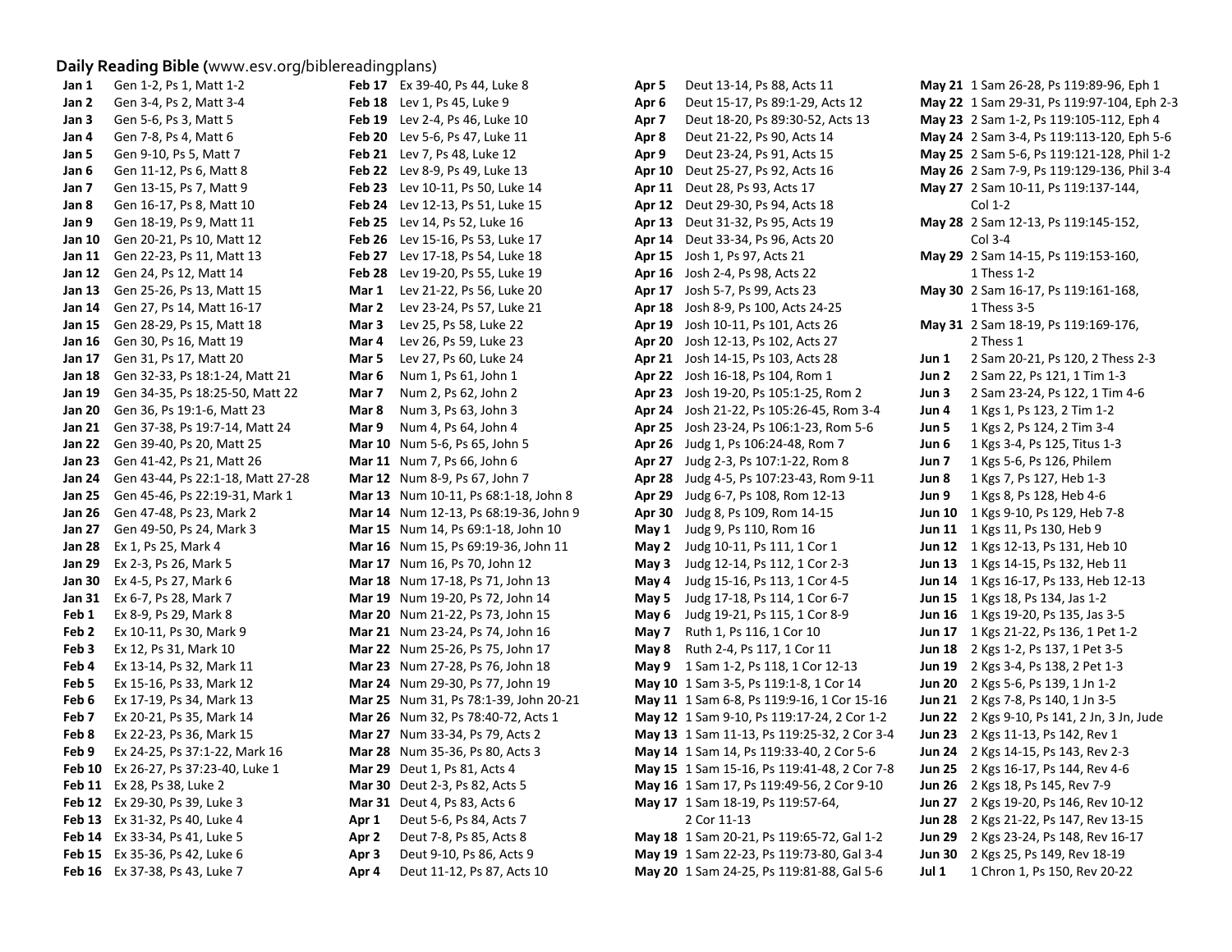## **Daily Reading Bible (**www.esv.org/biblereadingplans)

| Jan 1  | Gen 1-2, Ps 1, Matt 1-2                         |       | Feb 17 Ex 39-40, Ps 44, Luke 8          | Apr 5            | Deut 13-14, Ps 88, Acts 11                  |       | May 21 1 Sam 26-28, Ps 119:89-96, Eph 1     |
|--------|-------------------------------------------------|-------|-----------------------------------------|------------------|---------------------------------------------|-------|---------------------------------------------|
| Jan 2  | Gen 3-4, Ps 2, Matt 3-4                         |       | Feb 18 Lev 1, Ps 45, Luke 9             | Apr 6            | Deut 15-17, Ps 89:1-29, Acts 12             |       | May 22 1 Sam 29-31, Ps 119:97-104, Eph 2-3  |
| Jan 3  | Gen 5-6, Ps 3, Matt 5                           |       | Feb 19 Lev 2-4, Ps 46, Luke 10          | Apr <sub>7</sub> | Deut 18-20, Ps 89:30-52, Acts 13            |       | May 23 2 Sam 1-2, Ps 119:105-112, Eph 4     |
| Jan 4  | Gen 7-8, Ps 4, Matt 6                           |       | Feb 20 Lev 5-6, Ps 47, Luke 11          | Apr 8            | Deut 21-22, Ps 90, Acts 14                  |       | May 24 2 Sam 3-4, Ps 119:113-120, Eph 5-6   |
| Jan 5  | Gen 9-10, Ps 5, Matt 7                          |       | <b>Feb 21</b> Lev 7, Ps 48, Luke 12     | Apr 9            | Deut 23-24, Ps 91, Acts 15                  |       | May 25 2 Sam 5-6, Ps 119:121-128, Phil 1-2  |
| Jan 6  | Gen 11-12, Ps 6, Matt 8                         |       | <b>Feb 22</b> Lev 8-9, Ps 49, Luke 13   |                  | Apr 10 Deut 25-27, Ps 92, Acts 16           |       | May 26 2 Sam 7-9, Ps 119:129-136, Phil 3-4  |
| Jan 7  | Gen 13-15, Ps 7, Matt 9                         |       | <b>Feb 23</b> Lev 10-11, Ps 50, Luke 14 |                  | Apr 11 Deut 28, Ps 93, Acts 17              |       | May 27 2 Sam 10-11, Ps 119:137-144,         |
| Jan 8  | Gen 16-17, Ps 8, Matt 10                        |       | Feb 24 Lev 12-13, Ps 51, Luke 15        |                  | Apr 12 Deut 29-30, Ps 94, Acts 18           |       | $Col 1-2$                                   |
| Jan 9  | Gen 18-19, Ps 9, Matt 11                        |       | Feb 25 Lev 14, Ps 52, Luke 16           |                  | <b>Apr 13</b> Deut 31-32, Ps 95, Acts 19    |       | May 28 2 Sam 12-13, Ps 119:145-152,         |
| Jan 10 | Gen 20-21, Ps 10, Matt 12                       |       | Feb 26 Lev 15-16, Ps 53, Luke 17        |                  | <b>Apr 14</b> Deut 33-34, Ps 96, Acts 20    |       | Col 3-4                                     |
|        | Jan 11 Gen 22-23, Ps 11, Matt 13                |       | Feb 27 Lev 17-18, Ps 54, Luke 18        |                  | Apr 15 Josh 1, Ps 97, Acts 21               |       | May 29 2 Sam 14-15, Ps 119:153-160,         |
|        | <b>Jan 12</b> Gen 24, Ps 12, Matt 14            |       | Feb 28 Lev 19-20, Ps 55, Luke 19        |                  | Apr 16 Josh 2-4, Ps 98, Acts 22             |       | 1 Thess 1-2                                 |
|        | <b>Jan 13</b> Gen 25-26, Ps 13, Matt 15         | Mar 1 | Lev 21-22, Ps 56, Luke 20               |                  | Apr 17 Josh 5-7, Ps 99, Acts 23             |       | May 30 2 Sam 16-17, Ps 119:161-168,         |
|        | Jan 14 Gen 27, Ps 14, Matt 16-17                | Mar 2 | Lev 23-24, Ps 57, Luke 21               |                  | Apr 18 Josh 8-9, Ps 100, Acts 24-25         |       | 1 Thess 3-5                                 |
|        | <b>Jan 15</b> Gen 28-29, Ps 15, Matt 18         | Mar 3 | Lev 25, Ps 58, Luke 22                  |                  | Apr 19 Josh 10-11, Ps 101, Acts 26          |       | May 31 2 Sam 18-19, Ps 119:169-176,         |
|        | <b>Jan 16</b> Gen 30, Ps 16, Matt 19            | Mar 4 | Lev 26, Ps 59, Luke 23                  |                  | Apr 20 Josh 12-13, Ps 102, Acts 27          |       | 2 Thess 1                                   |
|        | <b>Jan 17</b> Gen 31, Ps 17, Matt 20            | Mar 5 | Lev 27, Ps 60, Luke 24                  |                  | Apr 21 Josh 14-15, Ps 103, Acts 28          | Jun 1 | 2 Sam 20-21, Ps 120, 2 Thess 2-3            |
|        | <b>Jan 18</b> Gen 32-33, Ps 18:1-24, Matt 21    | Mar 6 | Num 1, Ps 61, John 1                    |                  | Apr 22 Josh 16-18, Ps 104, Rom 1            | Jun 2 | 2 Sam 22, Ps 121, 1 Tim 1-3                 |
|        | <b>Jan 19</b> Gen 34-35, Ps 18:25-50, Matt 22   | Mar 7 | Num 2, Ps 62, John 2                    |                  | Apr 23 Josh 19-20, Ps 105:1-25, Rom 2       | Jun 3 | 2 Sam 23-24, Ps 122, 1 Tim 4-6              |
|        | Jan 20 Gen 36, Ps 19:1-6, Matt 23               | Mar 8 | Num 3, Ps 63, John 3                    |                  | Apr 24 Josh 21-22, Ps 105:26-45, Rom 3-4    | Jun 4 | 1 Kgs 1, Ps 123, 2 Tim 1-2                  |
|        | Jan 21 Gen 37-38, Ps 19:7-14, Matt 24           | Mar 9 | Num 4, Ps 64, John 4                    |                  | Apr 25 Josh 23-24, Ps 106:1-23, Rom 5-6     | Jun 5 | 1 Kgs 2, Ps 124, 2 Tim 3-4                  |
|        | Jan 22 Gen 39-40, Ps 20, Matt 25                |       | Mar 10 Num 5-6, Ps 65, John 5           |                  | Apr 26 Judg 1, Ps 106:24-48, Rom 7          | Jun 6 | 1 Kgs 3-4, Ps 125, Titus 1-3                |
|        | Jan 23 Gen 41-42, Ps 21, Matt 26                |       | Mar 11 Num 7, Ps 66, John 6             |                  | Apr 27 Judg 2-3, Ps 107:1-22, Rom 8         | Jun 7 | 1 Kgs 5-6, Ps 126, Philem                   |
|        | <b>Jan 24</b> Gen 43-44, Ps 22:1-18, Matt 27-28 |       | Mar 12 Num 8-9, Ps 67, John 7           |                  | Apr 28 Judg 4-5, Ps 107:23-43, Rom 9-11     | Jun 8 | 1 Kgs 7, Ps 127, Heb 1-3                    |
|        | Jan 25 Gen 45-46, Ps 22:19-31, Mark 1           |       | Mar 13 Num 10-11, Ps 68:1-18, John 8    |                  | Apr 29 Judg 6-7, Ps 108, Rom 12-13          | Jun 9 | 1 Kgs 8, Ps 128, Heb 4-6                    |
|        | <b>Jan 26</b> Gen 47-48, Ps 23, Mark 2          |       | Mar 14 Num 12-13, Ps 68:19-36, John 9   |                  | Apr 30 Judg 8, Ps 109, Rom 14-15            |       | Jun 10 1 Kgs 9-10, Ps 129, Heb 7-8          |
|        | <b>Jan 27</b> Gen 49-50, Ps 24, Mark 3          |       | Mar 15 Num 14, Ps 69:1-18, John 10      |                  | <b>May 1</b> Judg 9, Ps 110, Rom 16         |       | Jun 11 1 Kgs 11, Ps 130, Heb 9              |
|        | <b>Jan 28</b> Ex 1, Ps 25, Mark 4               |       | Mar 16 Num 15, Ps 69:19-36, John 11     |                  | May 2 Judg 10-11, Ps 111, 1 Cor 1           |       | <b>Jun 12</b> 1 Kgs 12-13, Ps 131, Heb 10   |
|        | <b>Jan 29</b> Ex 2-3, Ps 26, Mark 5             |       | Mar 17 Num 16, Ps 70, John 12           |                  | May 3 Judg 12-14, Ps 112, 1 Cor 2-3         |       | Jun 13 1 Kgs 14-15, Ps 132, Heb 11          |
|        | Jan 30 Ex 4-5, Ps 27, Mark 6                    |       | Mar 18 Num 17-18, Ps 71, John 13        |                  | May 4 Judg 15-16, Ps 113, 1 Cor 4-5         |       | Jun 14 1 Kgs 16-17, Ps 133, Heb 12-13       |
|        | Jan 31 Ex 6-7, Ps 28, Mark 7                    |       | Mar 19 Num 19-20, Ps 72, John 14        |                  | May 5 Judg 17-18, Ps 114, 1 Cor 6-7         |       | Jun 15 1 Kgs 18, Ps 134, Jas 1-2            |
| Feb 1  | Ex 8-9, Ps 29, Mark 8                           |       | Mar 20 Num 21-22, Ps 73, John 15        |                  | May 6 Judg 19-21, Ps 115, 1 Cor 8-9         |       | Jun 16 1 Kgs 19-20, Ps 135, Jas 3-5         |
| Feb 2  | Ex 10-11, Ps 30, Mark 9                         |       | Mar 21 Num 23-24, Ps 74, John 16        |                  | <b>May 7</b> Ruth 1, Ps 116, 1 Cor 10       |       | Jun 17 1 Kgs 21-22, Ps 136, 1 Pet 1-2       |
| Feb 3  | Ex 12, Ps 31, Mark 10                           |       | Mar 22 Num 25-26, Ps 75, John 17        |                  | <b>May 8</b> Ruth 2-4, Ps 117, 1 Cor 11     |       | Jun 18 2 Kgs 1-2, Ps 137, 1 Pet 3-5         |
| Feb 4  | Ex 13-14, Ps 32, Mark 11                        |       | Mar 23 Num 27-28, Ps 76, John 18        |                  | May 9 1 Sam 1-2, Ps 118, 1 Cor 12-13        |       | Jun 19 2 Kgs 3-4, Ps 138, 2 Pet 1-3         |
| Feb 5  | Ex 15-16, Ps 33, Mark 12                        |       | Mar 24 Num 29-30, Ps 77, John 19        |                  | May 10 1 Sam 3-5, Ps 119:1-8, 1 Cor 14      |       | Jun 20 2 Kgs 5-6, Ps 139, 1 Jn 1-2          |
| Feb 6  | Ex 17-19, Ps 34, Mark 13                        |       | Mar 25 Num 31, Ps 78:1-39, John 20-21   |                  | May 11 1 Sam 6-8, Ps 119:9-16, 1 Cor 15-16  |       | Jun 21 2 Kgs 7-8, Ps 140, 1 Jn 3-5          |
| Feb 7  | Ex 20-21, Ps 35, Mark 14                        |       | Mar 26 Num 32, Ps 78:40-72, Acts 1      |                  | May 12 1 Sam 9-10, Ps 119:17-24, 2 Cor 1-2  |       | Jun 22 2 Kgs 9-10, Ps 141, 2 Jn, 3 Jn, Jude |
| Feb 8  | Ex 22-23, Ps 36, Mark 15                        |       | Mar 27 Num 33-34, Ps 79, Acts 2         |                  | May 13 1 Sam 11-13, Ps 119:25-32, 2 Cor 3-4 |       | Jun 23 2 Kgs 11-13, Ps 142, Rev 1           |
| Feb 9  | Ex 24-25, Ps 37:1-22, Mark 16                   |       | <b>Mar 28</b> Num 35-36, Ps 80, Acts 3  |                  | May 14 1 Sam 14, Ps 119:33-40, 2 Cor 5-6    |       | Jun 24 2 Kgs 14-15, Ps 143, Rev 2-3         |
|        | Feb 10 Ex 26-27, Ps 37:23-40, Luke 1            |       | <b>Mar 29</b> Deut 1, Ps 81, Acts 4     |                  | May 15 1 Sam 15-16, Ps 119:41-48, 2 Cor 7-8 |       | Jun 25 2 Kgs 16-17, Ps 144, Rev 4-6         |
|        | Feb 11 Ex 28, Ps 38, Luke 2                     |       | <b>Mar 30</b> Deut 2-3, Ps 82, Acts 5   |                  | May 16 1 Sam 17, Ps 119:49-56, 2 Cor 9-10   |       | Jun 26 2 Kgs 18, Ps 145, Rev 7-9            |
|        | <b>Feb 12</b> Ex 29-30, Ps 39, Luke 3           |       | <b>Mar 31</b> Deut 4, Ps 83, Acts 6     |                  | May 17 1 Sam 18-19, Ps 119:57-64,           |       | Jun 27 2 Kgs 19-20, Ps 146, Rev 10-12       |
|        | Feb 13 Ex 31-32, Ps 40, Luke 4                  | Apr 1 | Deut 5-6, Ps 84, Acts 7                 |                  | 2 Cor 11-13                                 |       | Jun 28 2 Kgs 21-22, Ps 147, Rev 13-15       |
|        | Feb 14 Ex 33-34, Ps 41, Luke 5                  | Apr 2 | Deut 7-8, Ps 85, Acts 8                 |                  | May 18 1 Sam 20-21, Ps 119:65-72, Gal 1-2   |       | Jun 29 2 Kgs 23-24, Ps 148, Rev 16-17       |
|        | <b>Feb 15</b> Ex 35-36, Ps 42, Luke 6           | Apr 3 | Deut 9-10, Ps 86, Acts 9                |                  | May 19 1 Sam 22-23, Ps 119:73-80, Gal 3-4   |       | <b>Jun 30</b> 2 Kgs 25, Ps 149, Rev 18-19   |
|        | Feb 16 Ex 37-38, Ps 43, Luke 7                  | Apr 4 | Deut 11-12, Ps 87, Acts 10              |                  | May 20 1 Sam 24-25, Ps 119:81-88, Gal 5-6   | Jul 1 | 1 Chron 1, Ps 150, Rev 20-22                |